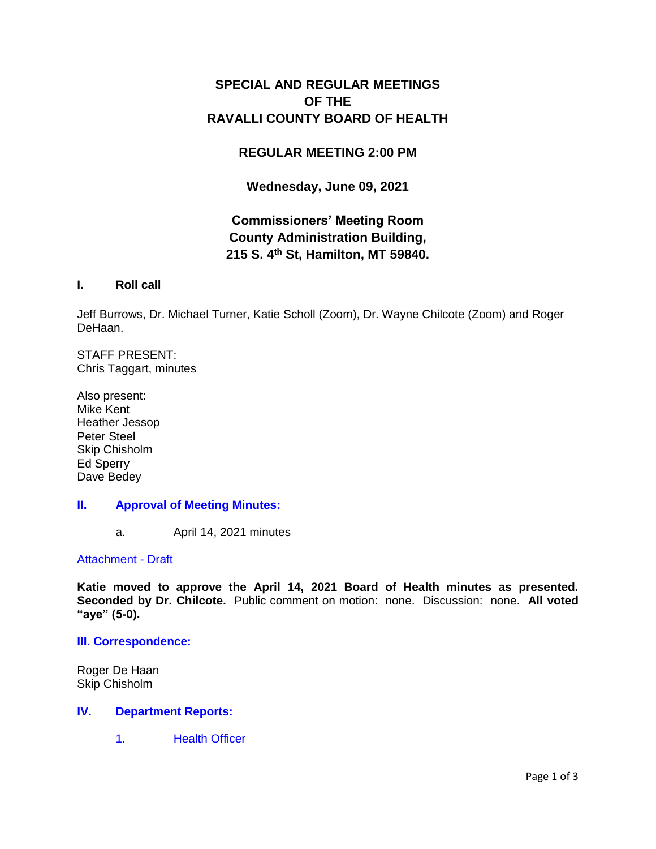# **SPECIAL AND REGULAR MEETINGS OF THE RAVALLI COUNTY BOARD OF HEALTH**

# **REGULAR MEETING 2:00 PM**

# **Wednesday, June 09, 2021**

# **Commissioners' Meeting Room County Administration Building, 215 S. 4th St, Hamilton, MT 59840.**

# **I. Roll call**

Jeff Burrows, Dr. Michael Turner, Katie Scholl (Zoom), Dr. Wayne Chilcote (Zoom) and Roger DeHaan.

STAFF PRESENT: Chris Taggart, minutes

Also present: Mike Kent Heather Jessop Peter Steel Skip Chisholm Ed Sperry Dave Bedey

# **II. [Approval of Meeting Minutes:](http://ravalli-mt.granicus.com/wordlinkreceiver.php?clip_id=a773e66a-39a1-44dd-bf71-9a1c9fe2c64f&meta_id=b6e75349-6363-41fe-90ee-6b679072be81&time=20)**

a. April 14, 2021 minutes

### [Attachment -](http://ravalli-mt.granicus.com/DocumentViewer.php?file=ravalli-mt_6b04d30cb3a6cf63f90de8b96b10b422.pdf) Draft

**Katie moved to approve the April 14, 2021 Board of Health minutes as presented. Seconded by Dr. Chilcote.** Public comment on motion: none. Discussion: none. **All voted "aye" (5-0).** 

### **[III. Correspondence:](http://ravalli-mt.granicus.com/wordlinkreceiver.php?clip_id=a773e66a-39a1-44dd-bf71-9a1c9fe2c64f&meta_id=9c8c5252-ae07-496e-a113-6ed051633ad4&time=79)**

Roger De Haan Skip Chisholm

### **IV. [Department Reports:](http://ravalli-mt.granicus.com/wordlinkreceiver.php?clip_id=a773e66a-39a1-44dd-bf71-9a1c9fe2c64f&meta_id=be0c9516-0610-4b16-9b0c-191c91893e06&time=456)**

1. [Health Officer](http://ravalli-mt.granicus.com/wordlinkreceiver.php?clip_id=a773e66a-39a1-44dd-bf71-9a1c9fe2c64f&meta_id=f8e7765a-c5cc-47e2-a3e0-c670abb2480a&time=458)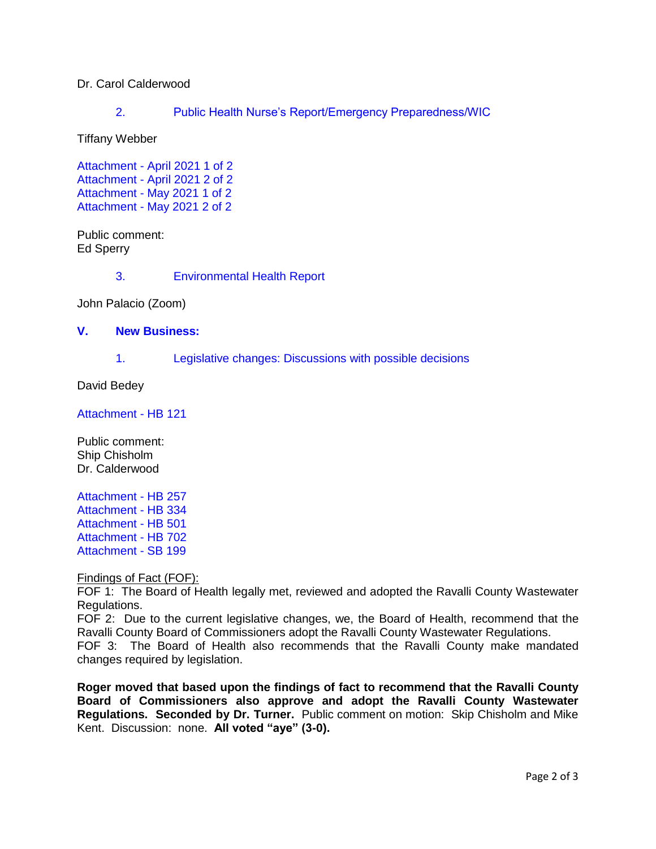# Dr. Carol Calderwood

2. [Public Health Nurse's Report/Emergency Preparedness/WIC](http://ravalli-mt.granicus.com/wordlinkreceiver.php?clip_id=a773e66a-39a1-44dd-bf71-9a1c9fe2c64f&meta_id=ba4630c0-ea4e-4ed2-9e36-1eb143ed58d7&time=657)

Tiffany Webber

Attachment - [April 2021 1 of 2](http://ravalli-mt.granicus.com/DocumentViewer.php?file=ravalli-mt_0208052e5d9c2ac24a94a7df8ece9996.pdf) Attachment - [April 2021 2 of 2](http://ravalli-mt.granicus.com/DocumentViewer.php?file=ravalli-mt_139094d88da0847fba879af4d76385dd.pdf) Attachment - [May 2021 1 of 2](http://ravalli-mt.granicus.com/DocumentViewer.php?file=ravalli-mt_cf8ac4b2cab7ba62cf29a63a84e6b459.pdf) Attachment - [May 2021 2 of 2](http://ravalli-mt.granicus.com/DocumentViewer.php?file=ravalli-mt_fba9545396daa5b781467c6fd02a00f4.pdf)

Public comment: Ed Sperry

3. [Environmental Health Report](http://ravalli-mt.granicus.com/wordlinkreceiver.php?clip_id=a773e66a-39a1-44dd-bf71-9a1c9fe2c64f&meta_id=542800b1-9df9-40c7-bf15-1f2495467f86&time=1482)

John Palacio (Zoom)

### **V. [New Business:](http://ravalli-mt.granicus.com/wordlinkreceiver.php?clip_id=a773e66a-39a1-44dd-bf71-9a1c9fe2c64f&meta_id=63f2aa22-c10d-4215-9d8d-a8f8c009c456&time=1619)**

1. [Legislative changes: Discussions with possible decisions](http://ravalli-mt.granicus.com/wordlinkreceiver.php?clip_id=a773e66a-39a1-44dd-bf71-9a1c9fe2c64f&meta_id=19023f7e-711e-4db3-9541-97f58b76daf2&time=1621)

David Bedey

[Attachment -](http://ravalli-mt.granicus.com/DocumentViewer.php?file=ravalli-mt_b656763adc874ce7f41d5d4f44af116d.pdf) HB 121

Public comment: Ship Chisholm Dr. Calderwood

[Attachment -](http://ravalli-mt.granicus.com/DocumentViewer.php?file=ravalli-mt_acce015133449b60afe49ce11cdbfed8.pdf) HB 257 [Attachment -](http://ravalli-mt.granicus.com/DocumentViewer.php?file=ravalli-mt_1f9ad3bab47593395f2886b1c5811333.pdf) HB 334 [Attachment -](http://ravalli-mt.granicus.com/DocumentViewer.php?file=ravalli-mt_5490ac32cb9dc4ea1a205847c99359ed.pdf) HB 501 [Attachment -](http://ravalli-mt.granicus.com/DocumentViewer.php?file=ravalli-mt_ae43cee7f67f92bc339f43baf0331844.pdf) HB 702 [Attachment -](http://ravalli-mt.granicus.com/DocumentViewer.php?file=ravalli-mt_f575d4830956993d08ed0f08e96254b1.pdf) SB 199

Findings of Fact (FOF):

FOF 1: The Board of Health legally met, reviewed and adopted the Ravalli County Wastewater Regulations.

FOF 2: Due to the current legislative changes, we, the Board of Health, recommend that the Ravalli County Board of Commissioners adopt the Ravalli County Wastewater Regulations. FOF 3: The Board of Health also recommends that the Ravalli County make mandated changes required by legislation.

**Roger moved that based upon the findings of fact to recommend that the Ravalli County Board of Commissioners also approve and adopt the Ravalli County Wastewater Regulations. Seconded by Dr. Turner.** Public comment on motion: Skip Chisholm and Mike Kent. Discussion: none. **All voted "aye" (3-0).**